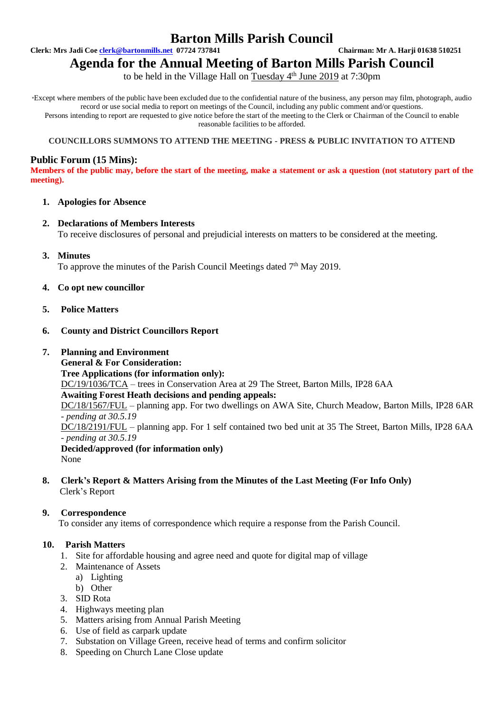# **Barton Mills Parish Council**

**Clerk: Mrs Jadi Coe [clerk@bartonmills.net](mailto:clerk@bartonmills.net) 07724 737841 Chairman: Mr A. Harji 01638 510251**

# **Agenda for the Annual Meeting of Barton Mills Parish Council**

to be held in the Village Hall on Tuesday 4<sup>th</sup> June 2019 at 7:30pm

\*Except where members of the public have been excluded due to the confidential nature of the business, any person may film, photograph, audio record or use social media to report on meetings of the Council, including any public comment and/or questions. Persons intending to report are requested to give notice before the start of the meeting to the Clerk or Chairman of the Council to enable reasonable facilities to be afforded.

#### **COUNCILLORS SUMMONS TO ATTEND THE MEETING - PRESS & PUBLIC INVITATION TO ATTEND**

# **Public Forum (15 Mins):**

**Members of the public may, before the start of the meeting, make a statement or ask a question (not statutory part of the meeting).**

#### **1. Apologies for Absence**

- **2. Declarations of Members Interests** To receive disclosures of personal and prejudicial interests on matters to be considered at the meeting.
- **3. Minutes**

To approve the minutes of the Parish Council Meetings dated 7<sup>th</sup> May 2019.

- **4. Co opt new councillor**
- **5. Police Matters**
- **6. County and District Councillors Report**

## **7. Planning and Environment**

**General & For Consideration: Tree Applications (for information only):** DC/19/1036/TCA – trees in Conservation Area at 29 The Street, Barton Mills, IP28 6AA **Awaiting Forest Heath decisions and pending appeals:** DC/18/1567/FUL – planning app. For two dwellings on AWA Site, Church Meadow, Barton Mills, IP28 6AR *- pending at 30.5.19* DC/18/2191/FUL – planning app. For 1 self contained two bed unit at 35 The Street, Barton Mills, IP28 6AA *- pending at 30.5.19* **Decided/approved (for information only)** None

**8. Clerk's Report & Matters Arising from the Minutes of the Last Meeting (For Info Only)** Clerk's Report

# **9. Correspondence**

To consider any items of correspondence which require a response from the Parish Council.

#### **10. Parish Matters**

- 1. Site for affordable housing and agree need and quote for digital map of village
- 2. Maintenance of Assets
	- a) Lighting
	- b) Other
- 3. SID Rota
- 4. Highways meeting plan
- 5. Matters arising from Annual Parish Meeting
- 6. Use of field as carpark update
- 7. Substation on Village Green, receive head of terms and confirm solicitor
- 8. Speeding on Church Lane Close update